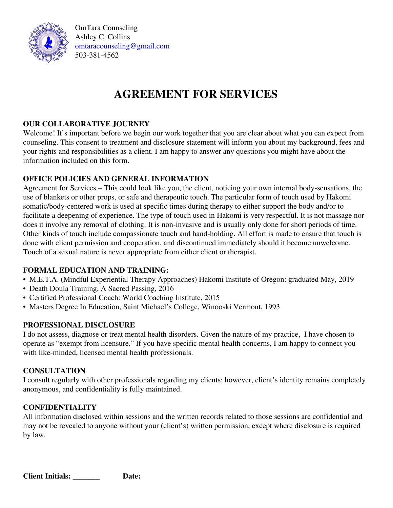

OmTara Counseling Ashley C. Collins [omtaracounseling@gmail.com](mailto:omtaracounseling@gmail.com) 503-381-4562

# **AGREEMENT FOR SERVICES**

# **OUR COLLABORATIVE JOURNEY**

Welcome! It's important before we begin our work together that you are clear about what you can expect from counseling. This consent to treatment and disclosure statement will inform you about my background, fees and your rights and responsibilities as a client. I am happy to answer any questions you might have about the information included on this form.

## **OFFICE POLICIES AND GENERAL INFORMATION**

Agreement for Services – This could look like you, the client, noticing your own internal body-sensations, the use of blankets or other props, or safe and therapeutic touch. The particular form of touch used by Hakomi somatic/body-centered work is used at specific times during therapy to either support the body and/or to facilitate a deepening of experience. The type of touch used in Hakomi is very respectful. It is not massage nor does it involve any removal of clothing. It is non-invasive and is usually only done for short periods of time. Other kinds of touch include compassionate touch and hand-holding. All effort is made to ensure that touch is done with client permission and cooperation, and discontinued immediately should it become unwelcome. Touch of a sexual nature is never appropriate from either client or therapist.

# **FORMAL EDUCATION AND TRAINING:**

- M.E.T.A. (Mindful Experiential Therapy Approaches) Hakomi Institute of Oregon: graduated May, 2019
- Death Doula Training, A Sacred Passing, 2016
- Certified Professional Coach: World Coaching Institute, 2015
- Masters Degree In Education, Saint Michael's College, Winooski Vermont, 1993

#### **PROFESSIONAL DISCLOSURE**

I do not assess, diagnose or treat mental health disorders. Given the nature of my practice, I have chosen to operate as "exempt from licensure." If you have specific mental health concerns, I am happy to connect you with like-minded, licensed mental health professionals.

#### **CONSULTATION**

I consult regularly with other professionals regarding my clients; however, client's identity remains completely anonymous, and confidentiality is fully maintained.

# **CONFIDENTIALITY**

All information disclosed within sessions and the written records related to those sessions are confidential and may not be revealed to anyone without your (client's) written permission, except where disclosure is required by law.

**Client Initials: \_\_\_\_\_\_\_ Date:**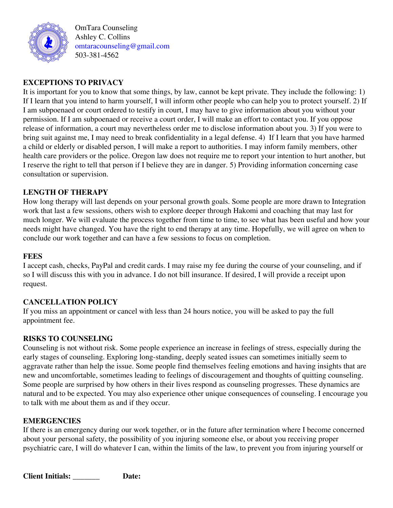

OmTara Counseling Ashley C. Collins [omtaracounseling@gmail.com](mailto:omtaracounseling@gmail.com) 503-381-4562

# **EXCEPTIONS TO PRIVACY**

It is important for you to know that some things, by law, cannot be kept private. They include the following: 1) If I learn that you intend to harm yourself, I will inform other people who can help you to protect yourself. 2) If I am subpoenaed or court ordered to testify in court, I may have to give information about you without your permission. If I am subpoenaed or receive a court order, I will make an effort to contact you. If you oppose release of information, a court may nevertheless order me to disclose information about you. 3) If you were to bring suit against me, I may need to break confidentiality in a legal defense. 4) If I learn that you have harmed a child or elderly or disabled person, I will make a report to authorities. I may inform family members, other health care providers or the police. Oregon law does not require me to report your intention to hurt another, but I reserve the right to tell that person if I believe they are in danger. 5) Providing information concerning case consultation or supervision.

# **LENGTH OF THERAPY**

How long therapy will last depends on your personal growth goals. Some people are more drawn to Integration work that last a few sessions, others wish to explore deeper through Hakomi and coaching that may last for much longer. We will evaluate the process together from time to time, to see what has been useful and how your needs might have changed. You have the right to end therapy at any time. Hopefully, we will agree on when to conclude our work together and can have a few sessions to focus on completion.

#### **FEES**

I accept cash, checks, PayPal and credit cards. I may raise my fee during the course of your counseling, and if so I will discuss this with you in advance. I do not bill insurance. If desired, I will provide a receipt upon request.

#### **CANCELLATION POLICY**

If you miss an appointment or cancel with less than 24 hours notice, you will be asked to pay the full appointment fee.

#### **RISKS TO COUNSELING**

Counseling is not without risk. Some people experience an increase in feelings of stress, especially during the early stages of counseling. Exploring long-standing, deeply seated issues can sometimes initially seem to aggravate rather than help the issue. Some people find themselves feeling emotions and having insights that are new and uncomfortable, sometimes leading to feelings of discouragement and thoughts of quitting counseling. Some people are surprised by how others in their lives respond as counseling progresses. These dynamics are natural and to be expected. You may also experience other unique consequences of counseling. I encourage you to talk with me about them as and if they occur.

#### **EMERGENCIES**

If there is an emergency during our work together, or in the future after termination where I become concerned about your personal safety, the possibility of you injuring someone else, or about you receiving proper psychiatric care, I will do whatever I can, within the limits of the law, to prevent you from injuring yourself or

**Client Initials: \_\_\_\_\_\_\_ Date:**